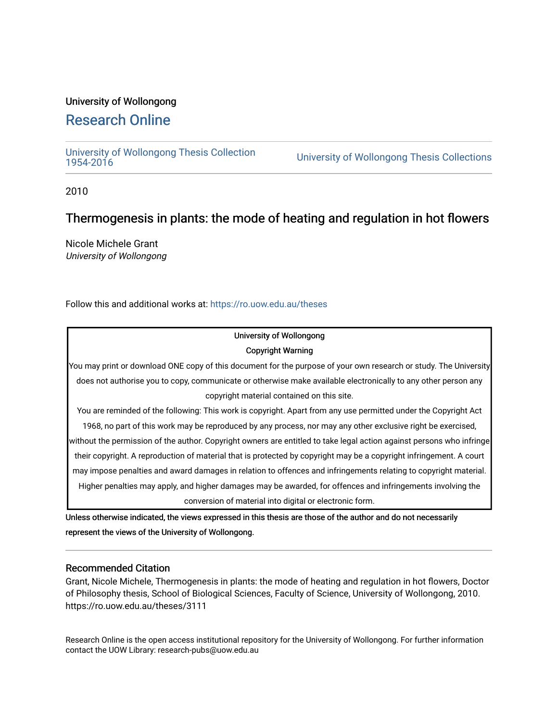### University of Wollongong

## [Research Online](https://ro.uow.edu.au/)

[University of Wollongong Thesis Collection](https://ro.uow.edu.au/theses)

University of Wollongong Thesis Collections

2010

## Thermogenesis in plants: the mode of heating and regulation in hot flowers

Nicole Michele Grant University of Wollongong

Follow this and additional works at: [https://ro.uow.edu.au/theses](https://ro.uow.edu.au/theses?utm_source=ro.uow.edu.au%2Ftheses%2F3111&utm_medium=PDF&utm_campaign=PDFCoverPages)

### University of Wollongong Copyright Warning

You may print or download ONE copy of this document for the purpose of your own research or study. The University does not authorise you to copy, communicate or otherwise make available electronically to any other person any copyright material contained on this site.

You are reminded of the following: This work is copyright. Apart from any use permitted under the Copyright Act 1968, no part of this work may be reproduced by any process, nor may any other exclusive right be exercised,

without the permission of the author. Copyright owners are entitled to take legal action against persons who infringe their copyright. A reproduction of material that is protected by copyright may be a copyright infringement. A court may impose penalties and award damages in relation to offences and infringements relating to copyright material. Higher penalties may apply, and higher damages may be awarded, for offences and infringements involving the conversion of material into digital or electronic form.

Unless otherwise indicated, the views expressed in this thesis are those of the author and do not necessarily represent the views of the University of Wollongong.

### Recommended Citation

Grant, Nicole Michele, Thermogenesis in plants: the mode of heating and regulation in hot flowers, Doctor of Philosophy thesis, School of Biological Sciences, Faculty of Science, University of Wollongong, 2010. https://ro.uow.edu.au/theses/3111

Research Online is the open access institutional repository for the University of Wollongong. For further information contact the UOW Library: research-pubs@uow.edu.au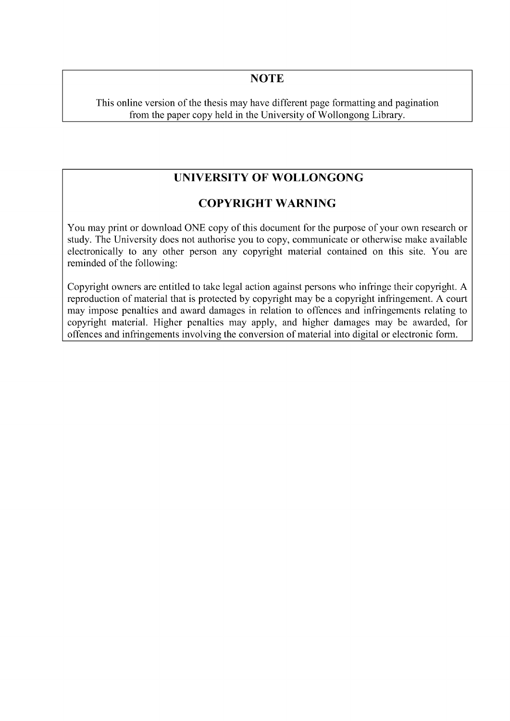### **NOTE**

This online version of the thesis may have different page formatting and pagination from the paper copy held in the University of Wollongong Library.

## **UNIVERSITY OF WOLLONGONG**

### **COPYRIGHT WARNING**

You may print or download ONE copy of this document for the purpose of your own research or study. The University does not authorise you to copy, communicate or otherwise make available electronically to any other person any copyright material contained on this site. You are reminded of the following:

Copyright owners are entitled to take legal action against persons who infringe their copyright. A reproduction of material that is protected by copyright may be a copyright infringement. A court may impose penalties and award damages in relation to offences and infringements relating to copyright material. Higher penalties may apply, and higher damages may be awarded, for offences and infringements involving the conversion of material into digital or electronic form.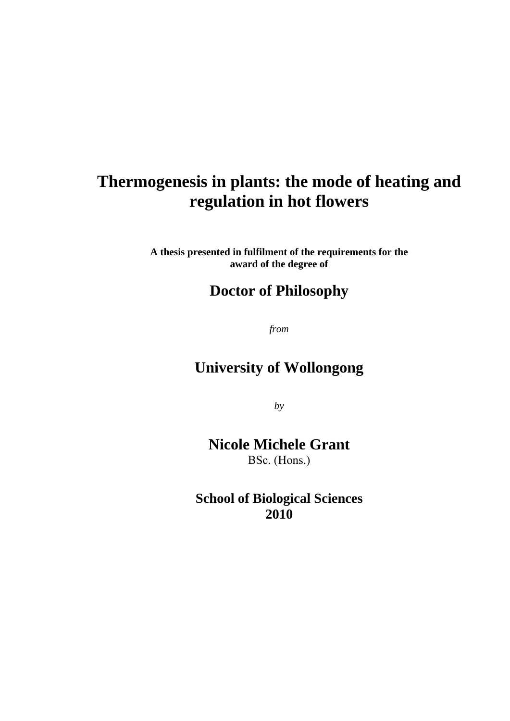# **Thermogenesis in plants: the mode of heating and regulation in hot flowers**

**A thesis presented in fulfilment of the requirements for the award of the degree of** 

## **Doctor of Philosophy**

*from* 

# **University of Wollongong**

*by* 

## **Nicole Michele Grant**  BSc. (Hons.)

**School of Biological Sciences 2010**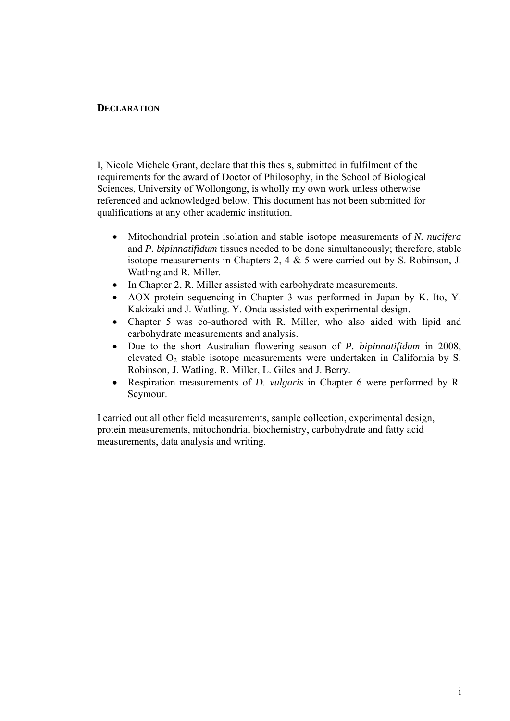### **DECLARATION**

I, Nicole Michele Grant, declare that this thesis, submitted in fulfilment of the requirements for the award of Doctor of Philosophy, in the School of Biological Sciences, University of Wollongong, is wholly my own work unless otherwise referenced and acknowledged below. This document has not been submitted for qualifications at any other academic institution.

- Mitochondrial protein isolation and stable isotope measurements of *N. nucifera* and *P. bipinnatifidum* tissues needed to be done simultaneously; therefore, stable isotope measurements in Chapters 2, 4 & 5 were carried out by S. Robinson, J. Watling and R. Miller.
- In Chapter 2, R. Miller assisted with carbohydrate measurements.
- AOX protein sequencing in Chapter 3 was performed in Japan by K. Ito, Y. Kakizaki and J. Watling. Y. Onda assisted with experimental design.
- Chapter 5 was co-authored with R. Miller, who also aided with lipid and carbohydrate measurements and analysis.
- Due to the short Australian flowering season of *P. bipinnatifidum* in 2008, elevated  $O<sub>2</sub>$  stable isotope measurements were undertaken in California by S. Robinson, J. Watling, R. Miller, L. Giles and J. Berry.
- Respiration measurements of *D. vulgaris* in Chapter 6 were performed by R. Seymour.

I carried out all other field measurements, sample collection, experimental design, protein measurements, mitochondrial biochemistry, carbohydrate and fatty acid measurements, data analysis and writing.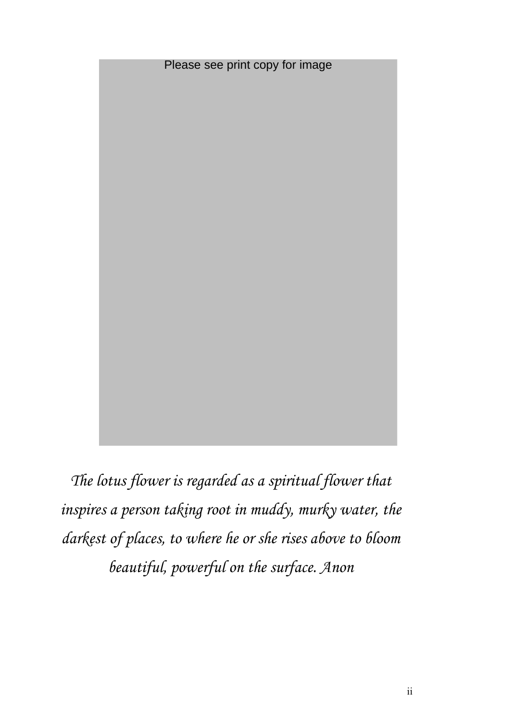

*The lotus flower is regarded as a spiritual flower that inspires a person taking root in muddy, murky water, the darkest of places, to where he or she rises above to bloom beautiful, powerful on the surface. Anon*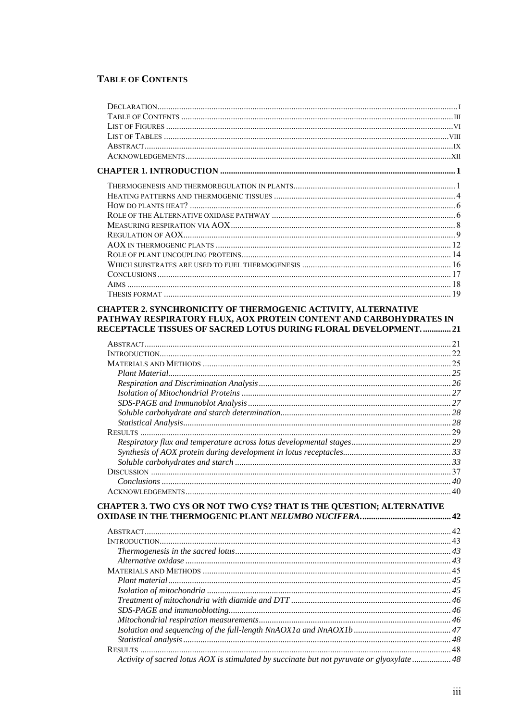### **TABLE OF CONTENTS**

| CHAPTER 2. SYNCHRONICITY OF THERMOGENIC ACTIVITY, ALTERNATIVE                             |  |
|-------------------------------------------------------------------------------------------|--|
| PATHWAY RESPIRATORY FLUX, AOX PROTEIN CONTENT AND CARBOHYDRATES IN                        |  |
| RECEPTACLE TISSUES OF SACRED LOTUS DURING FLORAL DEVELOPMENT.  21                         |  |
|                                                                                           |  |
|                                                                                           |  |
|                                                                                           |  |
|                                                                                           |  |
|                                                                                           |  |
|                                                                                           |  |
|                                                                                           |  |
|                                                                                           |  |
|                                                                                           |  |
|                                                                                           |  |
|                                                                                           |  |
|                                                                                           |  |
|                                                                                           |  |
| Conclusions                                                                               |  |
|                                                                                           |  |
| CHAPTER 3. TWO CYS OR NOT TWO CYS? THAT IS THE QUESTION; ALTERNATIVE                      |  |
|                                                                                           |  |
|                                                                                           |  |
|                                                                                           |  |
|                                                                                           |  |
|                                                                                           |  |
|                                                                                           |  |
|                                                                                           |  |
|                                                                                           |  |
|                                                                                           |  |
|                                                                                           |  |
|                                                                                           |  |
|                                                                                           |  |
|                                                                                           |  |
| Activity of sacred lotus AOX is stimulated by succinate but not pyruvate or glyoxylate 48 |  |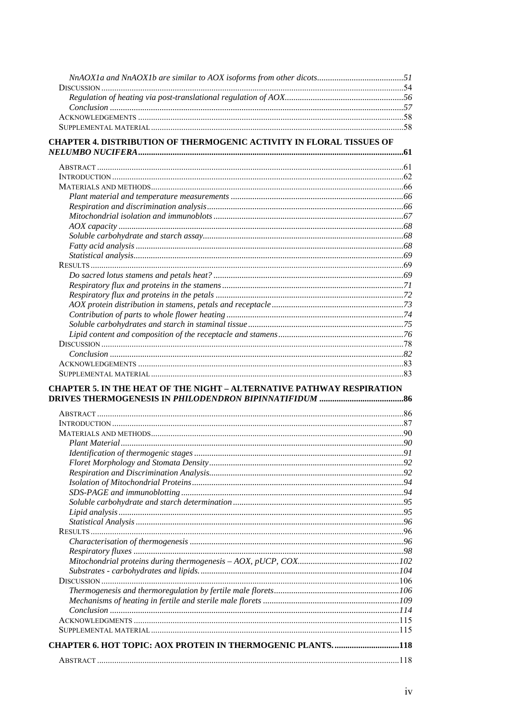| <b>CHAPTER 4. DISTRIBUTION OF THERMOGENIC ACTIVITY IN FLORAL TISSUES OF</b>  |  |
|------------------------------------------------------------------------------|--|
|                                                                              |  |
|                                                                              |  |
|                                                                              |  |
|                                                                              |  |
|                                                                              |  |
|                                                                              |  |
|                                                                              |  |
|                                                                              |  |
|                                                                              |  |
|                                                                              |  |
|                                                                              |  |
|                                                                              |  |
|                                                                              |  |
|                                                                              |  |
|                                                                              |  |
|                                                                              |  |
|                                                                              |  |
|                                                                              |  |
|                                                                              |  |
|                                                                              |  |
|                                                                              |  |
|                                                                              |  |
| <b>CHAPTER 5. IN THE HEAT OF THE NIGHT - ALTERNATIVE PATHWAY RESPIRATION</b> |  |
|                                                                              |  |
|                                                                              |  |
|                                                                              |  |
|                                                                              |  |
|                                                                              |  |
|                                                                              |  |
|                                                                              |  |
|                                                                              |  |
|                                                                              |  |
|                                                                              |  |
|                                                                              |  |
|                                                                              |  |
|                                                                              |  |
|                                                                              |  |
|                                                                              |  |
|                                                                              |  |
|                                                                              |  |
|                                                                              |  |
|                                                                              |  |
|                                                                              |  |
|                                                                              |  |
|                                                                              |  |
| <b>CHAPTER 6. HOT TOPIC: AOX PROTEIN IN THERMOGENIC PLANTS118</b>            |  |
|                                                                              |  |
|                                                                              |  |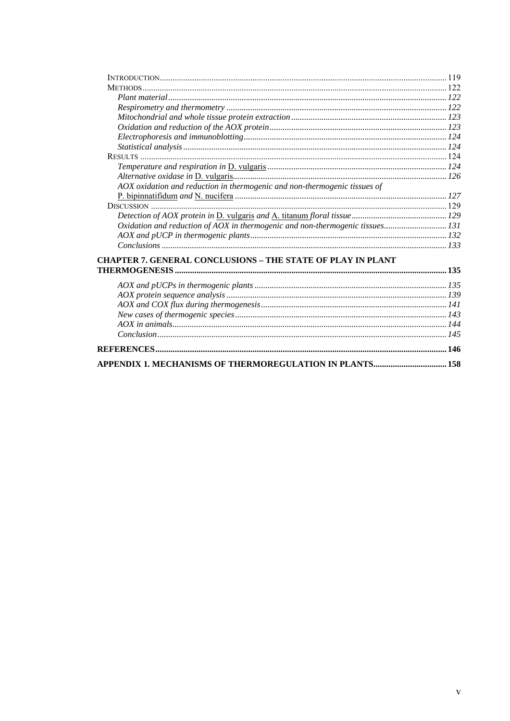| <b>METHODS</b>                                                                |  |
|-------------------------------------------------------------------------------|--|
|                                                                               |  |
|                                                                               |  |
|                                                                               |  |
|                                                                               |  |
|                                                                               |  |
|                                                                               |  |
|                                                                               |  |
|                                                                               |  |
|                                                                               |  |
| AOX oxidation and reduction in thermogenic and non-thermogenic tissues of     |  |
|                                                                               |  |
|                                                                               |  |
|                                                                               |  |
| Oxidation and reduction of AOX in thermogenic and non-thermogenic tissues 131 |  |
|                                                                               |  |
|                                                                               |  |
| <b>CHAPTER 7. GENERAL CONCLUSIONS - THE STATE OF PLAY IN PLANT</b>            |  |
|                                                                               |  |
|                                                                               |  |
|                                                                               |  |
|                                                                               |  |
|                                                                               |  |
|                                                                               |  |
|                                                                               |  |
|                                                                               |  |
|                                                                               |  |
|                                                                               |  |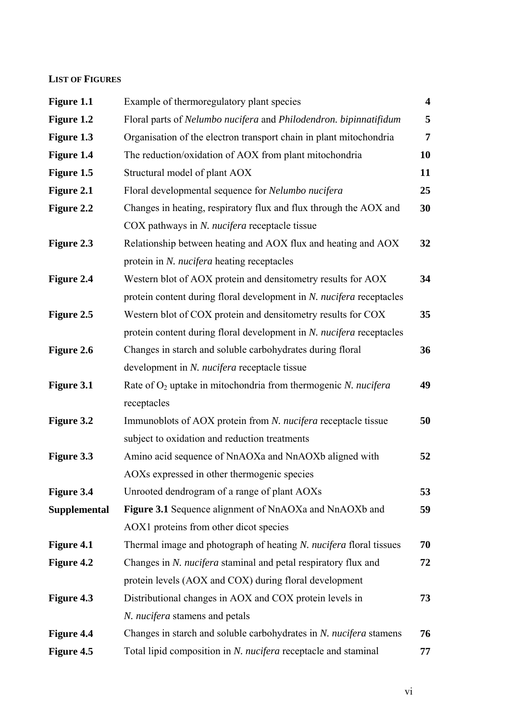### **LIST OF FIGURES**

| Figure 1.1          | Example of thermoregulatory plant species                            | $\overline{\mathbf{4}}$ |
|---------------------|----------------------------------------------------------------------|-------------------------|
| Figure 1.2          | Floral parts of Nelumbo nucifera and Philodendron. bipinnatifidum    | 5                       |
| Figure 1.3          | Organisation of the electron transport chain in plant mitochondria   | 7                       |
| Figure 1.4          | The reduction/oxidation of AOX from plant mitochondria               | 10                      |
| Figure 1.5          | Structural model of plant AOX                                        | 11                      |
| Figure 2.1          | Floral developmental sequence for Nelumbo nucifera                   | 25                      |
| Figure 2.2          | Changes in heating, respiratory flux and flux through the AOX and    | 30                      |
|                     | COX pathways in N. nucifera receptacle tissue                        |                         |
| Figure 2.3          | Relationship between heating and AOX flux and heating and AOX        | 32                      |
|                     | protein in N. nucifera heating receptacles                           |                         |
| Figure 2.4          | Western blot of AOX protein and densitometry results for AOX         | 34                      |
|                     | protein content during floral development in N. nucifera receptacles |                         |
| Figure 2.5          | Western blot of COX protein and densitometry results for COX         | 35                      |
|                     | protein content during floral development in N. nucifera receptacles |                         |
| Figure 2.6          | Changes in starch and soluble carbohydrates during floral            | 36                      |
|                     | development in N. nucifera receptacle tissue                         |                         |
| Figure 3.1          | Rate of $O_2$ uptake in mitochondria from thermogenic N. nucifera    | 49                      |
|                     | receptacles                                                          |                         |
| <b>Figure 3.2</b>   | Immunoblots of AOX protein from N. nucifera receptacle tissue        | 50                      |
|                     | subject to oxidation and reduction treatments                        |                         |
| Figure 3.3          | Amino acid sequence of NnAOXa and NnAOXb aligned with                | 52                      |
|                     | AOXs expressed in other thermogenic species                          |                         |
| Figure 3.4          | Unrooted dendrogram of a range of plant AOXs                         | 53                      |
| <b>Supplemental</b> | Figure 3.1 Sequence alignment of NnAOXa and NnAOXb and               | 59                      |
|                     | AOX1 proteins from other dicot species                               |                         |
| Figure 4.1          | Thermal image and photograph of heating N. nucifera floral tissues   | 70                      |
| Figure 4.2          | Changes in N. nucifera staminal and petal respiratory flux and       | 72                      |
|                     | protein levels (AOX and COX) during floral development               |                         |
| Figure 4.3          | Distributional changes in AOX and COX protein levels in              | 73                      |
|                     | N. nucifera stamens and petals                                       |                         |
| Figure 4.4          | Changes in starch and soluble carbohydrates in N. nucifera stamens   | 76                      |
| Figure 4.5          | Total lipid composition in N. nucifera receptacle and staminal       | 77                      |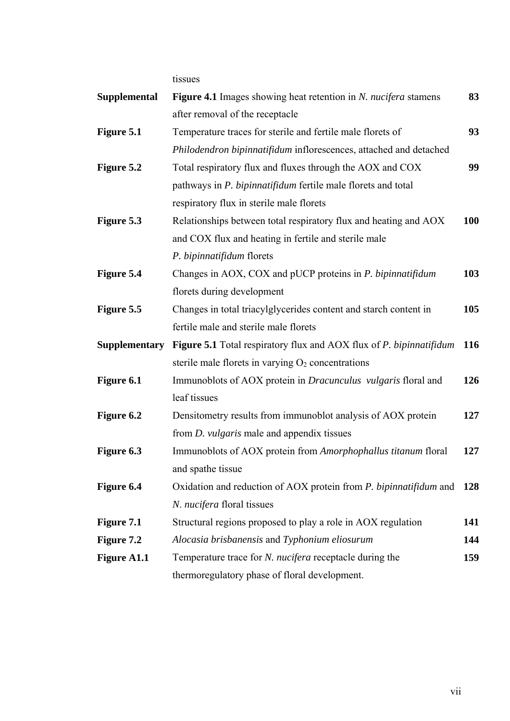tissues

| <b>Supplemental</b>  | <b>Figure 4.1</b> Images showing heat retention in <i>N. nucifera</i> stamens     | 83         |
|----------------------|-----------------------------------------------------------------------------------|------------|
|                      | after removal of the receptacle                                                   |            |
| Figure 5.1           | Temperature traces for sterile and fertile male florets of                        | 93         |
|                      | Philodendron bipinnatifidum inflorescences, attached and detached                 |            |
| Figure 5.2           | Total respiratory flux and fluxes through the AOX and COX                         | 99         |
|                      | pathways in P. bipinnatifidum fertile male florets and total                      |            |
|                      | respiratory flux in sterile male florets                                          |            |
| Figure 5.3           | Relationships between total respiratory flux and heating and AOX                  | <b>100</b> |
|                      | and COX flux and heating in fertile and sterile male                              |            |
|                      | P. bipinnatifidum florets                                                         |            |
| Figure 5.4           | Changes in AOX, COX and pUCP proteins in P. bipinnatifidum                        | 103        |
|                      | florets during development                                                        |            |
| Figure 5.5           | Changes in total triacylglycerides content and starch content in                  | 105        |
|                      | fertile male and sterile male florets                                             |            |
| <b>Supplementary</b> | <b>Figure 5.1</b> Total respiratory flux and AOX flux of <i>P. bipinnatifidum</i> | 116        |
|                      | sterile male florets in varying $O_2$ concentrations                              |            |
| Figure 6.1           | Immunoblots of AOX protein in <i>Dracunculus</i> vulgaris floral and              | 126        |
|                      | leaf tissues                                                                      |            |
| Figure 6.2           | Densitometry results from immunoblot analysis of AOX protein                      | 127        |
|                      | from <i>D. vulgaris</i> male and appendix tissues                                 |            |
| Figure 6.3           | Immunoblots of AOX protein from Amorphophallus titanum floral                     | 127        |
|                      | and spathe tissue                                                                 |            |
| Figure 6.4           | Oxidation and reduction of AOX protein from P. bipinnatifidum and                 | 128        |
|                      | N. nucifera floral tissues                                                        |            |
| Figure 7.1           | Structural regions proposed to play a role in AOX regulation                      | 141        |
| Figure 7.2           | Alocasia brisbanensis and Typhonium eliosurum                                     | 144        |
| <b>Figure A1.1</b>   | Temperature trace for <i>N. nucifera</i> receptacle during the                    | 159        |
|                      | thermoregulatory phase of floral development.                                     |            |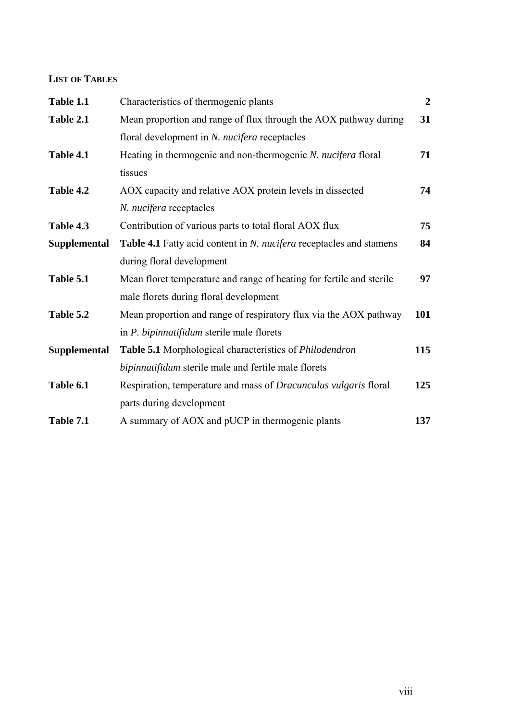### **LIST OF TABLES**

| Table 1.1           | Characteristics of thermogenic plants                                      | $\boldsymbol{2}$ |
|---------------------|----------------------------------------------------------------------------|------------------|
| Table 2.1           | Mean proportion and range of flux through the AOX pathway during           | 31               |
|                     | floral development in N. nucifera receptacles                              |                  |
| Table 4.1           | Heating in thermogenic and non-thermogenic N. nucifera floral              | 71               |
|                     | tissues                                                                    |                  |
| Table 4.2           | AOX capacity and relative AOX protein levels in dissected                  | 74               |
|                     | N. nucifera receptacles                                                    |                  |
| Table 4.3           | Contribution of various parts to total floral AOX flux                     | 75               |
| <b>Supplemental</b> | <b>Table 4.1</b> Fatty acid content in N. nucifera receptacles and stamens | 84               |
|                     | during floral development                                                  |                  |
| Table 5.1           | Mean floret temperature and range of heating for fertile and sterile       | 97               |
|                     | male florets during floral development                                     |                  |
| Table 5.2           | Mean proportion and range of respiratory flux via the AOX pathway          | 101              |
|                     | in <i>P. bipinnatifidum</i> sterile male florets                           |                  |
| Supplemental        | Table 5.1 Morphological characteristics of Philodendron                    | 115              |
|                     | bipinnatifidum sterile male and fertile male florets                       |                  |
| Table 6.1           | Respiration, temperature and mass of <i>Dracunculus vulgaris</i> floral    | 125              |
|                     | parts during development                                                   |                  |
| Table 7.1           | A summary of AOX and pUCP in thermogenic plants                            | 137              |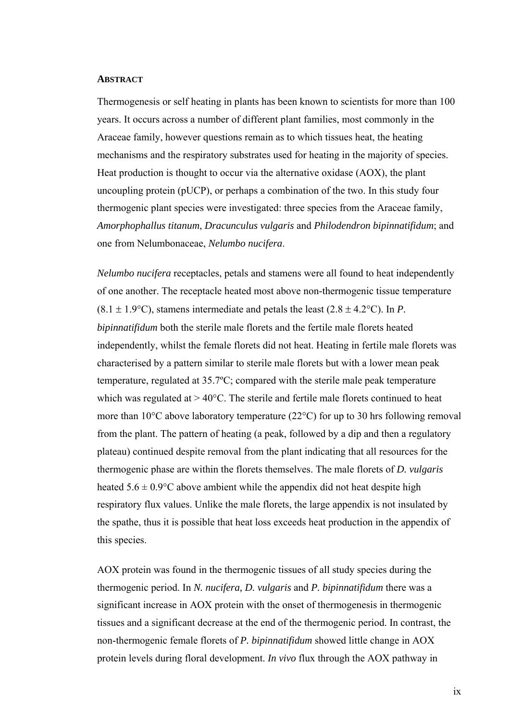#### **ABSTRACT**

Thermogenesis or self heating in plants has been known to scientists for more than 100 years. It occurs across a number of different plant families, most commonly in the Araceae family, however questions remain as to which tissues heat, the heating mechanisms and the respiratory substrates used for heating in the majority of species. Heat production is thought to occur via the alternative oxidase (AOX), the plant uncoupling protein (pUCP), or perhaps a combination of the two. In this study four thermogenic plant species were investigated: three species from the Araceae family, *Amorphophallus titanum*, *Dracunculus vulgaris* and *Philodendron bipinnatifidum*; and one from Nelumbonaceae, *Nelumbo nucifera*.

*Nelumbo nucifera* receptacles, petals and stamens were all found to heat independently of one another. The receptacle heated most above non-thermogenic tissue temperature  $(8.1 \pm 1.9^{\circ}\text{C})$ , stamens intermediate and petals the least  $(2.8 \pm 4.2^{\circ}\text{C})$ . In *P*. *bipinnatifidum* both the sterile male florets and the fertile male florets heated independently, whilst the female florets did not heat. Heating in fertile male florets was characterised by a pattern similar to sterile male florets but with a lower mean peak temperature, regulated at 35.7ºC; compared with the sterile male peak temperature which was regulated at  $> 40^{\circ}$ C. The sterile and fertile male florets continued to heat more than 10°C above laboratory temperature (22°C) for up to 30 hrs following removal from the plant. The pattern of heating (a peak, followed by a dip and then a regulatory plateau) continued despite removal from the plant indicating that all resources for the thermogenic phase are within the florets themselves. The male florets of *D. vulgaris* heated  $5.6 \pm 0.9$ °C above ambient while the appendix did not heat despite high respiratory flux values. Unlike the male florets, the large appendix is not insulated by the spathe, thus it is possible that heat loss exceeds heat production in the appendix of this species.

AOX protein was found in the thermogenic tissues of all study species during the thermogenic period. In *N. nucifera, D. vulgaris* and *P. bipinnatifidum* there was a significant increase in AOX protein with the onset of thermogenesis in thermogenic tissues and a significant decrease at the end of the thermogenic period. In contrast, the non-thermogenic female florets of *P. bipinnatifidum* showed little change in AOX protein levels during floral development. *In vivo* flux through the AOX pathway in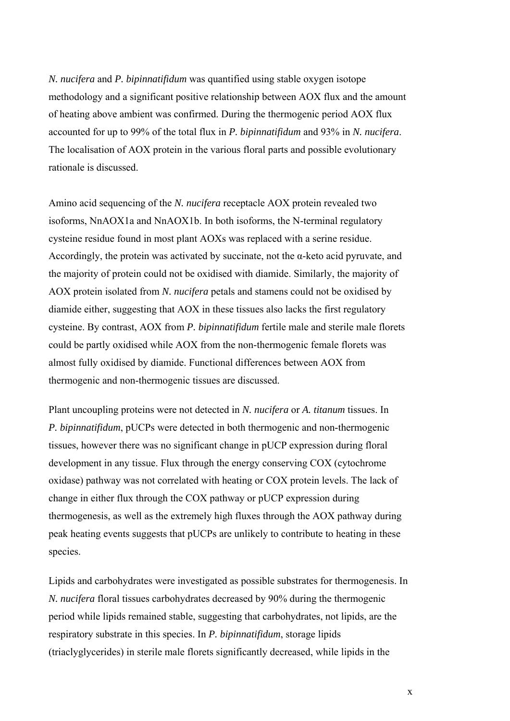*N. nucifera* and *P. bipinnatifidum* was quantified using stable oxygen isotope methodology and a significant positive relationship between AOX flux and the amount of heating above ambient was confirmed. During the thermogenic period AOX flux accounted for up to 99% of the total flux in *P. bipinnatifidum* and 93% in *N. nucifera*. The localisation of AOX protein in the various floral parts and possible evolutionary rationale is discussed.

Amino acid sequencing of the *N. nucifera* receptacle AOX protein revealed two isoforms, NnAOX1a and NnAOX1b. In both isoforms, the N-terminal regulatory cysteine residue found in most plant AOXs was replaced with a serine residue. Accordingly, the protein was activated by succinate, not the  $\alpha$ -keto acid pyruvate, and the majority of protein could not be oxidised with diamide. Similarly, the majority of AOX protein isolated from *N. nucifera* petals and stamens could not be oxidised by diamide either, suggesting that AOX in these tissues also lacks the first regulatory cysteine. By contrast, AOX from *P. bipinnatifidum* fertile male and sterile male florets could be partly oxidised while AOX from the non-thermogenic female florets was almost fully oxidised by diamide. Functional differences between AOX from thermogenic and non-thermogenic tissues are discussed.

Plant uncoupling proteins were not detected in *N. nucifera* or *A. titanum* tissues. In *P. bipinnatifidum*, pUCPs were detected in both thermogenic and non-thermogenic tissues, however there was no significant change in pUCP expression during floral development in any tissue. Flux through the energy conserving COX (cytochrome oxidase) pathway was not correlated with heating or COX protein levels. The lack of change in either flux through the COX pathway or pUCP expression during thermogenesis, as well as the extremely high fluxes through the AOX pathway during peak heating events suggests that pUCPs are unlikely to contribute to heating in these species.

Lipids and carbohydrates were investigated as possible substrates for thermogenesis. In *N. nucifera* floral tissues carbohydrates decreased by 90% during the thermogenic period while lipids remained stable, suggesting that carbohydrates, not lipids, are the respiratory substrate in this species. In *P. bipinnatifidum*, storage lipids (triaclyglycerides) in sterile male florets significantly decreased, while lipids in the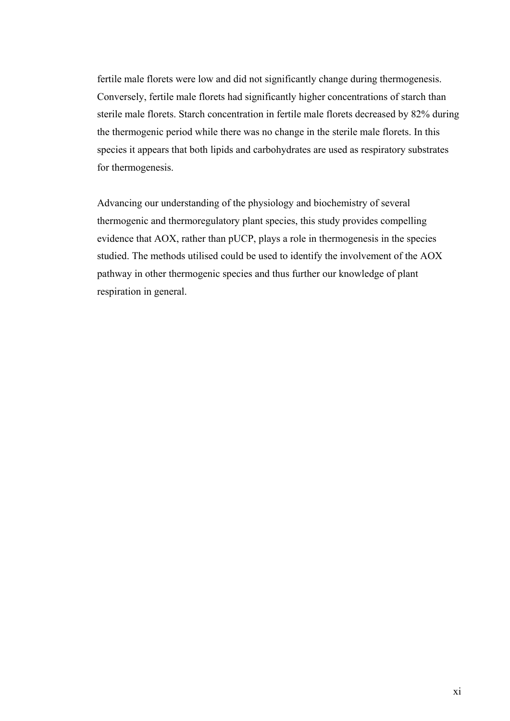fertile male florets were low and did not significantly change during thermogenesis. Conversely, fertile male florets had significantly higher concentrations of starch than sterile male florets. Starch concentration in fertile male florets decreased by 82% during the thermogenic period while there was no change in the sterile male florets. In this species it appears that both lipids and carbohydrates are used as respiratory substrates for thermogenesis.

Advancing our understanding of the physiology and biochemistry of several thermogenic and thermoregulatory plant species, this study provides compelling evidence that AOX, rather than pUCP, plays a role in thermogenesis in the species studied. The methods utilised could be used to identify the involvement of the AOX pathway in other thermogenic species and thus further our knowledge of plant respiration in general.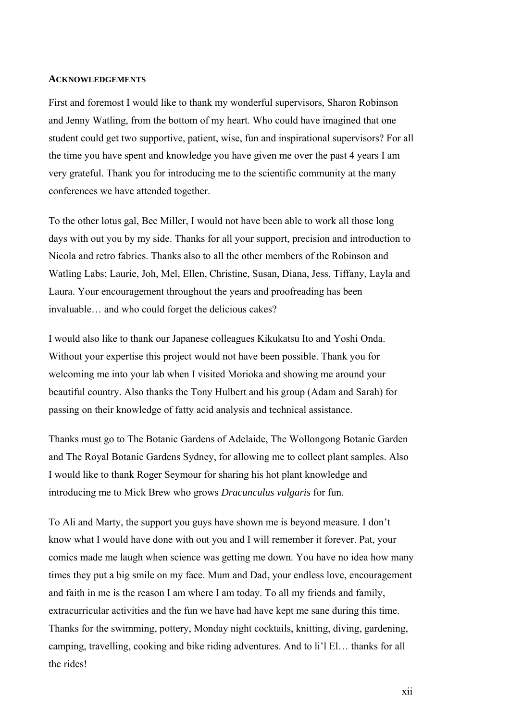#### **ACKNOWLEDGEMENTS**

First and foremost I would like to thank my wonderful supervisors, Sharon Robinson and Jenny Watling, from the bottom of my heart. Who could have imagined that one student could get two supportive, patient, wise, fun and inspirational supervisors? For all the time you have spent and knowledge you have given me over the past 4 years I am very grateful. Thank you for introducing me to the scientific community at the many conferences we have attended together.

To the other lotus gal, Bec Miller, I would not have been able to work all those long days with out you by my side. Thanks for all your support, precision and introduction to Nicola and retro fabrics. Thanks also to all the other members of the Robinson and Watling Labs; Laurie, Joh, Mel, Ellen, Christine, Susan, Diana, Jess, Tiffany, Layla and Laura. Your encouragement throughout the years and proofreading has been invaluable… and who could forget the delicious cakes?

I would also like to thank our Japanese colleagues Kikukatsu Ito and Yoshi Onda. Without your expertise this project would not have been possible. Thank you for welcoming me into your lab when I visited Morioka and showing me around your beautiful country. Also thanks the Tony Hulbert and his group (Adam and Sarah) for passing on their knowledge of fatty acid analysis and technical assistance.

Thanks must go to The Botanic Gardens of Adelaide, The Wollongong Botanic Garden and The Royal Botanic Gardens Sydney, for allowing me to collect plant samples. Also I would like to thank Roger Seymour for sharing his hot plant knowledge and introducing me to Mick Brew who grows *Dracunculus vulgaris* for fun.

To Ali and Marty, the support you guys have shown me is beyond measure. I don't know what I would have done with out you and I will remember it forever. Pat, your comics made me laugh when science was getting me down. You have no idea how many times they put a big smile on my face. Mum and Dad, your endless love, encouragement and faith in me is the reason I am where I am today. To all my friends and family, extracurricular activities and the fun we have had have kept me sane during this time. Thanks for the swimming, pottery, Monday night cocktails, knitting, diving, gardening, camping, travelling, cooking and bike riding adventures. And to li'l El… thanks for all the rides!

xii